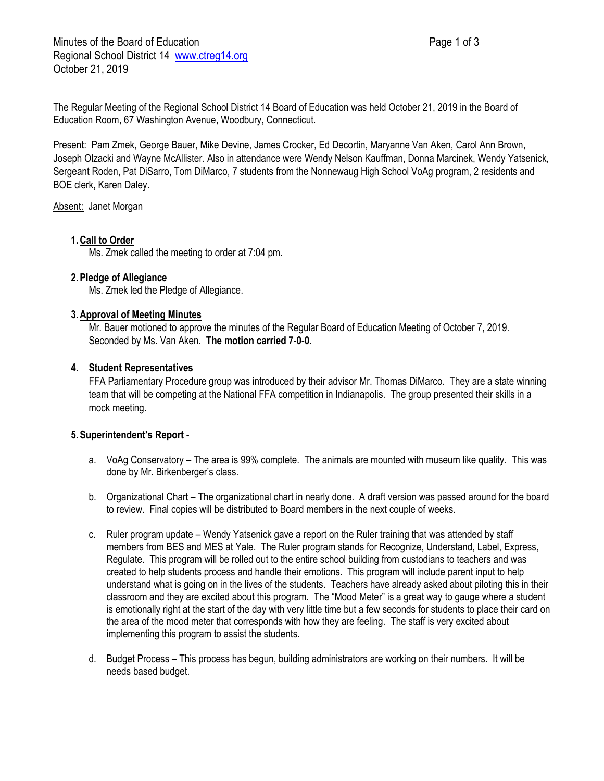Minutes of the Board of Education **Page 1 of 3** Page 1 of 3 Regional School District 14 [www.ctreg14.org](http://www.ctreg14.org/) October 21, 2019

The Regular Meeting of the Regional School District 14 Board of Education was held October 21, 2019 in the Board of Education Room, 67 Washington Avenue, Woodbury, Connecticut.

Present: Pam Zmek, George Bauer, Mike Devine, James Crocker, Ed Decortin, Maryanne Van Aken, Carol Ann Brown, Joseph Olzacki and Wayne McAllister. Also in attendance were Wendy Nelson Kauffman, Donna Marcinek, Wendy Yatsenick, Sergeant Roden, Pat DiSarro, Tom DiMarco, 7 students from the Nonnewaug High School VoAg program, 2 residents and BOE clerk, Karen Daley.

Absent: Janet Morgan

# **1.Call to Order**

Ms. Zmek called the meeting to order at 7:04 pm.

## **2.Pledge of Allegiance**

Ms. Zmek led the Pledge of Allegiance.

## **3.Approval of Meeting Minutes**

Mr. Bauer motioned to approve the minutes of the Regular Board of Education Meeting of October 7, 2019. Seconded by Ms. Van Aken. **The motion carried 7-0-0.**

## **4. Student Representatives**

FFA Parliamentary Procedure group was introduced by their advisor Mr. Thomas DiMarco. They are a state winning team that will be competing at the National FFA competition in Indianapolis. The group presented their skills in a mock meeting.

# **5.Superintendent's Report** -

- a. VoAg Conservatory The area is 99% complete. The animals are mounted with museum like quality. This was done by Mr. Birkenberger's class.
- b. Organizational Chart The organizational chart in nearly done. A draft version was passed around for the board to review. Final copies will be distributed to Board members in the next couple of weeks.
- c. Ruler program update Wendy Yatsenick gave a report on the Ruler training that was attended by staff members from BES and MES at Yale. The Ruler program stands for Recognize, Understand, Label, Express, Regulate. This program will be rolled out to the entire school building from custodians to teachers and was created to help students process and handle their emotions. This program will include parent input to help understand what is going on in the lives of the students. Teachers have already asked about piloting this in their classroom and they are excited about this program. The "Mood Meter" is a great way to gauge where a student is emotionally right at the start of the day with very little time but a few seconds for students to place their card on the area of the mood meter that corresponds with how they are feeling. The staff is very excited about implementing this program to assist the students.
- d. Budget Process This process has begun, building administrators are working on their numbers. It will be needs based budget.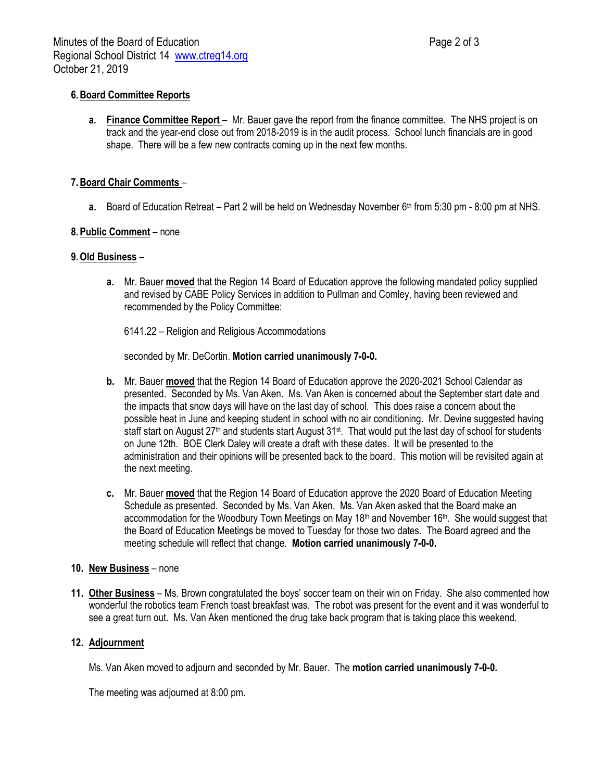# **6.Board Committee Reports**

**a. Finance Committee Report** – Mr. Bauer gave the report from the finance committee. The NHS project is on track and the year-end close out from 2018-2019 is in the audit process. School lunch financials are in good shape. There will be a few new contracts coming up in the next few months.

## **7.Board Chair Comments** –

**a.** Board of Education Retreat – Part 2 will be held on Wednesday November 6<sup>th</sup> from 5:30 pm - 8:00 pm at NHS.

### **8.Public Comment** – none

### **9.Old Business** –

**a.** Mr. Bauer **moved** that the Region 14 Board of Education approve the following mandated policy supplied and revised by CABE Policy Services in addition to Pullman and Comley, having been reviewed and recommended by the Policy Committee:

6141.22 – Religion and Religious Accommodations

seconded by Mr. DeCortin. **Motion carried unanimously 7-0-0.**

- **b.** Mr. Bauer **moved** that the Region 14 Board of Education approve the 2020-2021 School Calendar as presented. Seconded by Ms. Van Aken. Ms. Van Aken is concerned about the September start date and the impacts that snow days will have on the last day of school. This does raise a concern about the possible heat in June and keeping student in school with no air conditioning. Mr. Devine suggested having staff start on August 27<sup>th</sup> and students start August 31<sup>st</sup>. That would put the last day of school for students on June 12th. BOE Clerk Daley will create a draft with these dates. It will be presented to the administration and their opinions will be presented back to the board. This motion will be revisited again at the next meeting.
- **c.** Mr. Bauer **moved** that the Region 14 Board of Education approve the 2020 Board of Education Meeting Schedule as presented. Seconded by Ms. Van Aken. Ms. Van Aken asked that the Board make an accommodation for the Woodbury Town Meetings on May 18<sup>th</sup> and November 16<sup>th</sup>. She would suggest that the Board of Education Meetings be moved to Tuesday for those two dates. The Board agreed and the meeting schedule will reflect that change. **Motion carried unanimously 7-0-0.**

### **10. New Business** – none

**11. Other Business** – Ms. Brown congratulated the boys' soccer team on their win on Friday. She also commented how wonderful the robotics team French toast breakfast was. The robot was present for the event and it was wonderful to see a great turn out. Ms. Van Aken mentioned the drug take back program that is taking place this weekend.

### **12. Adjournment**

Ms. Van Aken moved to adjourn and seconded by Mr. Bauer. The **motion carried unanimously 7-0-0.**

The meeting was adjourned at 8:00 pm.